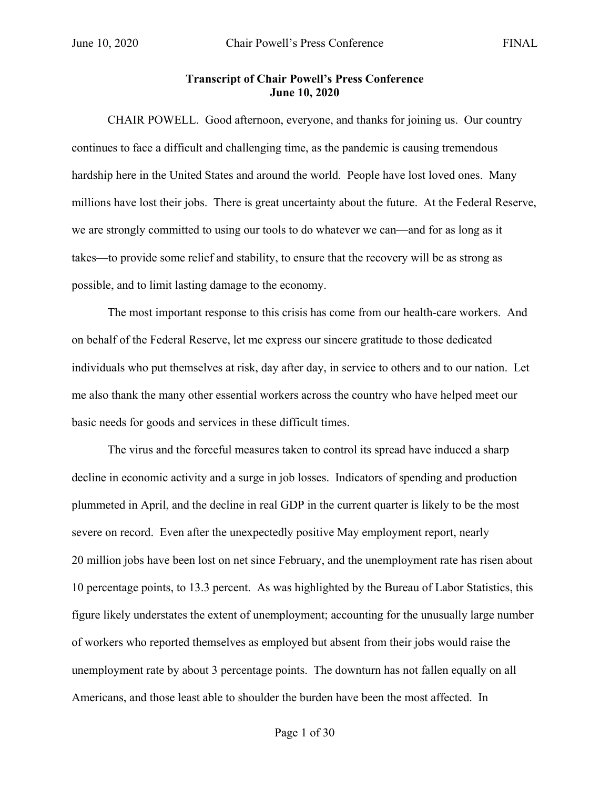## **Transcript of Chair Powell's Press Conference June 10, 2020**

CHAIR POWELL. Good afternoon, everyone, and thanks for joining us. Our country continues to face a difficult and challenging time, as the pandemic is causing tremendous hardship here in the United States and around the world. People have lost loved ones. Many millions have lost their jobs. There is great uncertainty about the future. At the Federal Reserve, we are strongly committed to using our tools to do whatever we can—and for as long as it takes—to provide some relief and stability, to ensure that the recovery will be as strong as possible, and to limit lasting damage to the economy.

The most important response to this crisis has come from our health-care workers. And on behalf of the Federal Reserve, let me express our sincere gratitude to those dedicated individuals who put themselves at risk, day after day, in service to others and to our nation. Let me also thank the many other essential workers across the country who have helped meet our basic needs for goods and services in these difficult times.

The virus and the forceful measures taken to control its spread have induced a sharp decline in economic activity and a surge in job losses. Indicators of spending and production plummeted in April, and the decline in real GDP in the current quarter is likely to be the most severe on record. Even after the unexpectedly positive May employment report, nearly 20 million jobs have been lost on net since February, and the unemployment rate has risen about 10 percentage points, to 13.3 percent. As was highlighted by the Bureau of Labor Statistics, this figure likely understates the extent of unemployment; accounting for the unusually large number of workers who reported themselves as employed but absent from their jobs would raise the unemployment rate by about 3 percentage points. The downturn has not fallen equally on all Americans, and those least able to shoulder the burden have been the most affected. In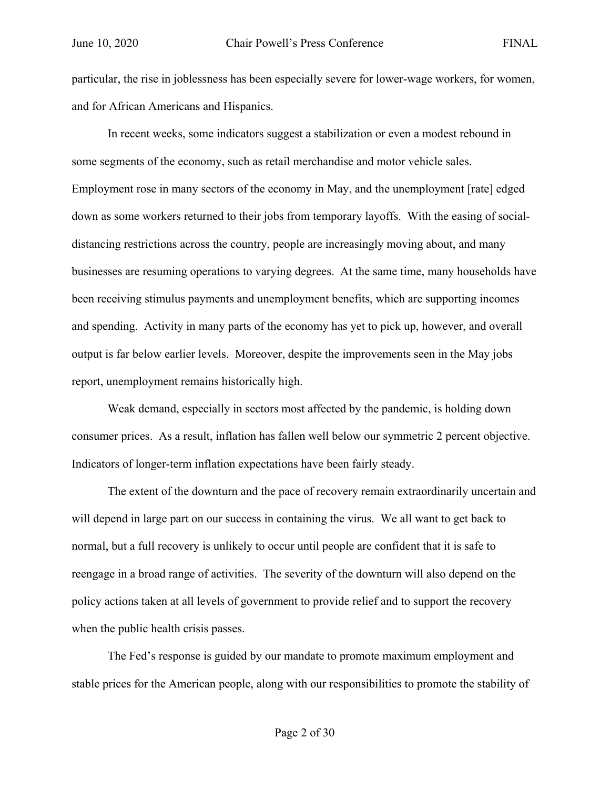particular, the rise in joblessness has been especially severe for lower-wage workers, for women, and for African Americans and Hispanics.

In recent weeks, some indicators suggest a stabilization or even a modest rebound in some segments of the economy, such as retail merchandise and motor vehicle sales. Employment rose in many sectors of the economy in May, and the unemployment [rate] edged down as some workers returned to their jobs from temporary layoffs. With the easing of socialdistancing restrictions across the country, people are increasingly moving about, and many businesses are resuming operations to varying degrees. At the same time, many households have been receiving stimulus payments and unemployment benefits, which are supporting incomes and spending. Activity in many parts of the economy has yet to pick up, however, and overall output is far below earlier levels. Moreover, despite the improvements seen in the May jobs report, unemployment remains historically high.

Weak demand, especially in sectors most affected by the pandemic, is holding down consumer prices. As a result, inflation has fallen well below our symmetric 2 percent objective. Indicators of longer-term inflation expectations have been fairly steady.

The extent of the downturn and the pace of recovery remain extraordinarily uncertain and will depend in large part on our success in containing the virus. We all want to get back to normal, but a full recovery is unlikely to occur until people are confident that it is safe to reengage in a broad range of activities. The severity of the downturn will also depend on the policy actions taken at all levels of government to provide relief and to support the recovery when the public health crisis passes.

The Fed's response is guided by our mandate to promote maximum employment and stable prices for the American people, along with our responsibilities to promote the stability of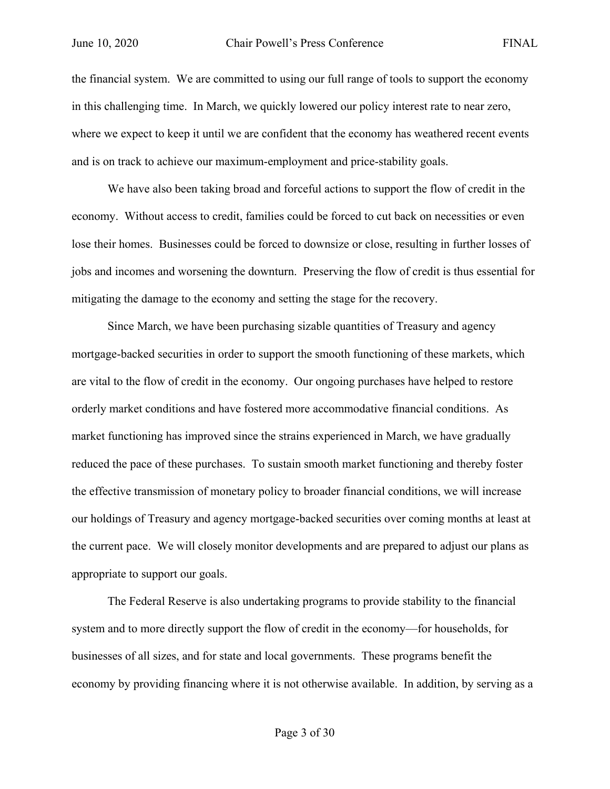the financial system. We are committed to using our full range of tools to support the economy in this challenging time. In March, we quickly lowered our policy interest rate to near zero, where we expect to keep it until we are confident that the economy has weathered recent events and is on track to achieve our maximum-employment and price-stability goals.

We have also been taking broad and forceful actions to support the flow of credit in the economy. Without access to credit, families could be forced to cut back on necessities or even lose their homes. Businesses could be forced to downsize or close, resulting in further losses of jobs and incomes and worsening the downturn. Preserving the flow of credit is thus essential for mitigating the damage to the economy and setting the stage for the recovery.

Since March, we have been purchasing sizable quantities of Treasury and agency mortgage-backed securities in order to support the smooth functioning of these markets, which are vital to the flow of credit in the economy. Our ongoing purchases have helped to restore orderly market conditions and have fostered more accommodative financial conditions. As market functioning has improved since the strains experienced in March, we have gradually reduced the pace of these purchases. To sustain smooth market functioning and thereby foster the effective transmission of monetary policy to broader financial conditions, we will increase our holdings of Treasury and agency mortgage-backed securities over coming months at least at the current pace. We will closely monitor developments and are prepared to adjust our plans as appropriate to support our goals.

The Federal Reserve is also undertaking programs to provide stability to the financial system and to more directly support the flow of credit in the economy—for households, for businesses of all sizes, and for state and local governments. These programs benefit the economy by providing financing where it is not otherwise available. In addition, by serving as a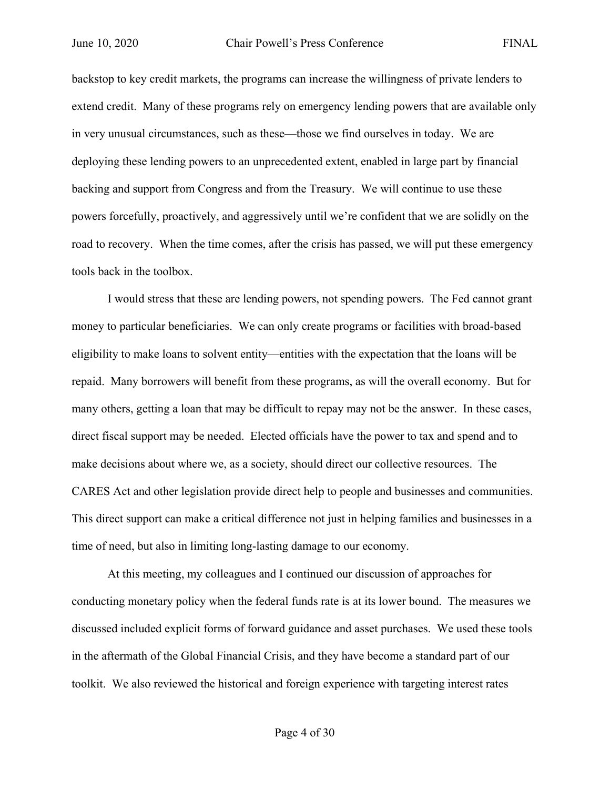backstop to key credit markets, the programs can increase the willingness of private lenders to extend credit. Many of these programs rely on emergency lending powers that are available only in very unusual circumstances, such as these—those we find ourselves in today. We are deploying these lending powers to an unprecedented extent, enabled in large part by financial backing and support from Congress and from the Treasury. We will continue to use these powers forcefully, proactively, and aggressively until we're confident that we are solidly on the road to recovery. When the time comes, after the crisis has passed, we will put these emergency tools back in the toolbox.

I would stress that these are lending powers, not spending powers. The Fed cannot grant money to particular beneficiaries. We can only create programs or facilities with broad-based eligibility to make loans to solvent entity—entities with the expectation that the loans will be repaid. Many borrowers will benefit from these programs, as will the overall economy. But for many others, getting a loan that may be difficult to repay may not be the answer. In these cases, direct fiscal support may be needed. Elected officials have the power to tax and spend and to make decisions about where we, as a society, should direct our collective resources. The CARES Act and other legislation provide direct help to people and businesses and communities. This direct support can make a critical difference not just in helping families and businesses in a time of need, but also in limiting long-lasting damage to our economy.

At this meeting, my colleagues and I continued our discussion of approaches for conducting monetary policy when the federal funds rate is at its lower bound. The measures we discussed included explicit forms of forward guidance and asset purchases. We used these tools in the aftermath of the Global Financial Crisis, and they have become a standard part of our toolkit. We also reviewed the historical and foreign experience with targeting interest rates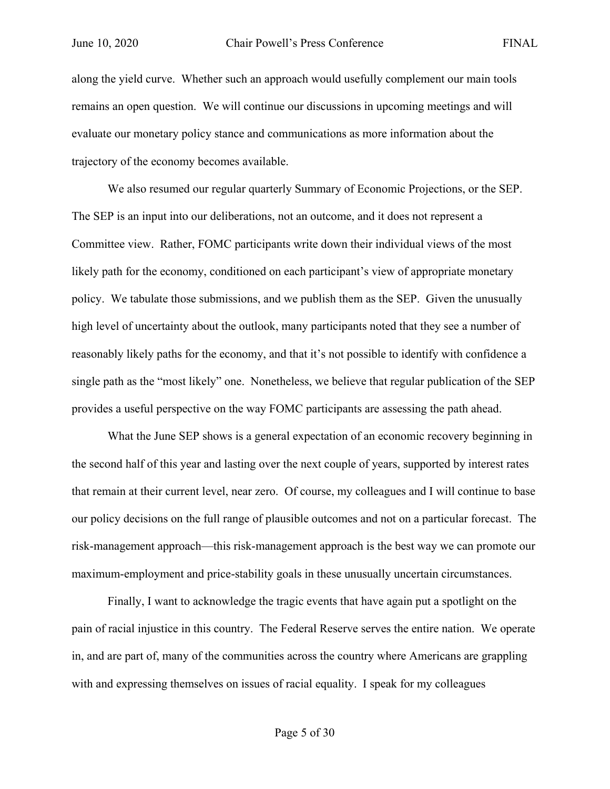along the yield curve. Whether such an approach would usefully complement our main tools remains an open question. We will continue our discussions in upcoming meetings and will evaluate our monetary policy stance and communications as more information about the trajectory of the economy becomes available.

We also resumed our regular quarterly Summary of Economic Projections, or the SEP. The SEP is an input into our deliberations, not an outcome, and it does not represent a Committee view. Rather, FOMC participants write down their individual views of the most likely path for the economy, conditioned on each participant's view of appropriate monetary policy. We tabulate those submissions, and we publish them as the SEP. Given the unusually high level of uncertainty about the outlook, many participants noted that they see a number of reasonably likely paths for the economy, and that it's not possible to identify with confidence a single path as the "most likely" one. Nonetheless, we believe that regular publication of the SEP provides a useful perspective on the way FOMC participants are assessing the path ahead.

What the June SEP shows is a general expectation of an economic recovery beginning in the second half of this year and lasting over the next couple of years, supported by interest rates that remain at their current level, near zero. Of course, my colleagues and I will continue to base our policy decisions on the full range of plausible outcomes and not on a particular forecast. The risk-management approach—this risk-management approach is the best way we can promote our maximum-employment and price-stability goals in these unusually uncertain circumstances.

Finally, I want to acknowledge the tragic events that have again put a spotlight on the pain of racial injustice in this country. The Federal Reserve serves the entire nation. We operate in, and are part of, many of the communities across the country where Americans are grappling with and expressing themselves on issues of racial equality. I speak for my colleagues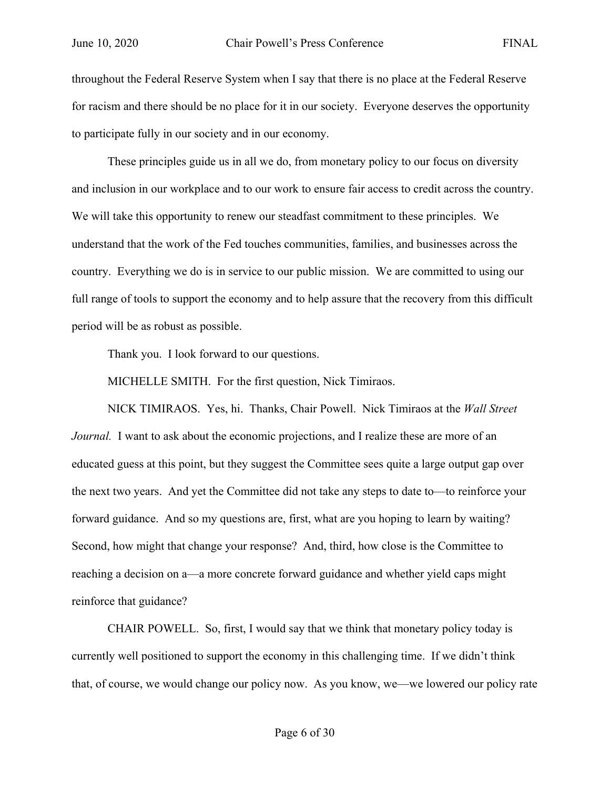throughout the Federal Reserve System when I say that there is no place at the Federal Reserve for racism and there should be no place for it in our society. Everyone deserves the opportunity to participate fully in our society and in our economy.

These principles guide us in all we do, from monetary policy to our focus on diversity and inclusion in our workplace and to our work to ensure fair access to credit across the country. We will take this opportunity to renew our steadfast commitment to these principles. We understand that the work of the Fed touches communities, families, and businesses across the country. Everything we do is in service to our public mission. We are committed to using our full range of tools to support the economy and to help assure that the recovery from this difficult period will be as robust as possible.

Thank you. I look forward to our questions.

MICHELLE SMITH. For the first question, Nick Timiraos.

NICK TIMIRAOS. Yes, hi. Thanks, Chair Powell. Nick Timiraos at the *Wall Street Journal.* I want to ask about the economic projections, and I realize these are more of an educated guess at this point, but they suggest the Committee sees quite a large output gap over the next two years. And yet the Committee did not take any steps to date to—to reinforce your forward guidance. And so my questions are, first, what are you hoping to learn by waiting? Second, how might that change your response? And, third, how close is the Committee to reaching a decision on a—a more concrete forward guidance and whether yield caps might reinforce that guidance?

CHAIR POWELL. So, first, I would say that we think that monetary policy today is currently well positioned to support the economy in this challenging time. If we didn't think that, of course, we would change our policy now. As you know, we—we lowered our policy rate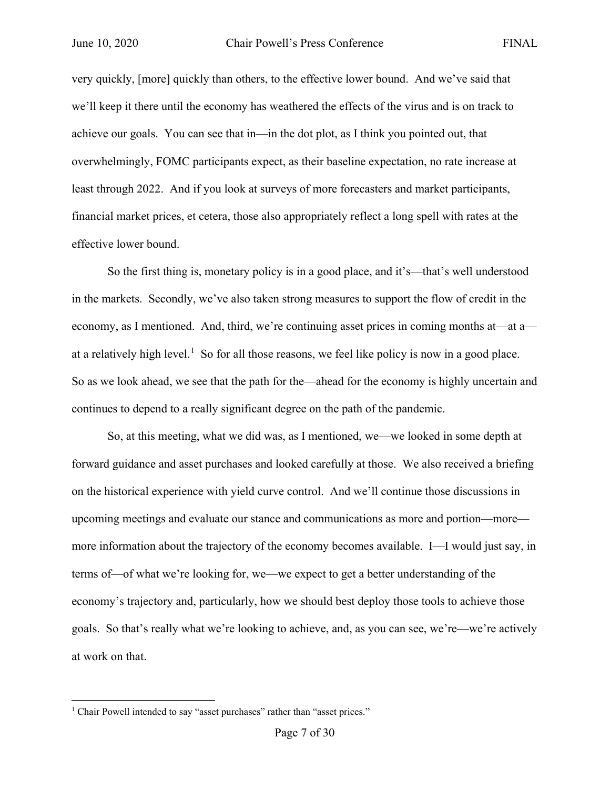very quickly, [more] quickly than others, to the effective lower bound. And we've said that we'll keep it there until the economy has weathered the effects of the virus and is on track to achieve our goals. You can see that in—in the dot plot, as I think you pointed out, that overwhelmingly, FOMC participants expect, as their baseline expectation, no rate increase at least through 2022. And if you look at surveys of more forecasters and market participants, financial market prices, et cetera, those also appropriately reflect a long spell with rates at the effective lower bound.

So the first thing is, monetary policy is in a good place, and it's—that's well understood in the markets. Secondly, we've also taken strong measures to support the flow of credit in the economy, as I mentioned. And, third, we're continuing asset prices in coming months at—at a— at a relatively high level.<sup>[1](#page-6-0)</sup> So for all those reasons, we feel like policy is now in a good place. So as we look ahead, we see that the path for the—ahead for the economy is highly uncertain and continues to depend to a really significant degree on the path of the pandemic.

So, at this meeting, what we did was, as I mentioned, we—we looked in some depth at forward guidance and asset purchases and looked carefully at those. We also received a briefing on the historical experience with yield curve control. And we'll continue those discussions in upcoming meetings and evaluate our stance and communications as more and portion—more more information about the trajectory of the economy becomes available. I—I would just say, in terms of—of what we're looking for, we—we expect to get a better understanding of the economy's trajectory and, particularly, how we should best deploy those tools to achieve those goals. So that's really what we're looking to achieve, and, as you can see, we're—we're actively at work on that.

<span id="page-6-0"></span><sup>&</sup>lt;sup>1</sup> Chair Powell intended to say "asset purchases" rather than "asset prices."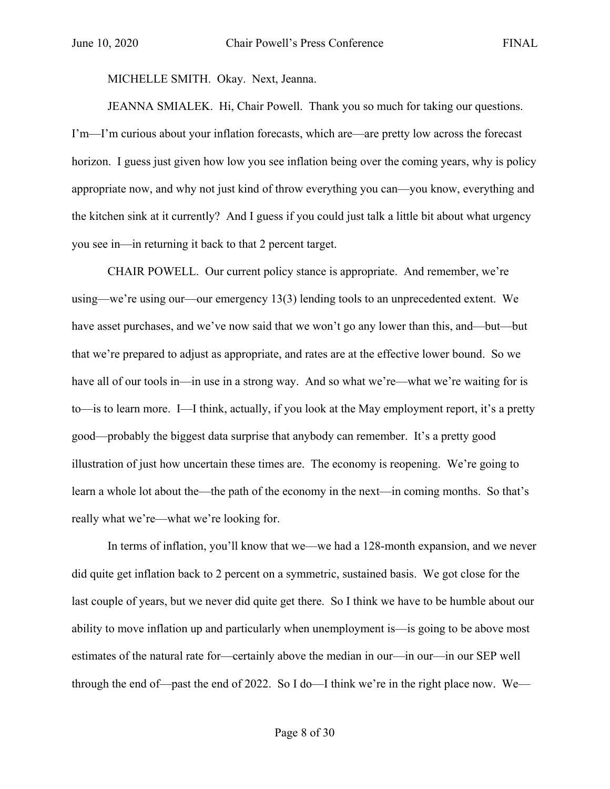MICHELLE SMITH. Okay. Next, Jeanna.

JEANNA SMIALEK. Hi, Chair Powell. Thank you so much for taking our questions. I'm—I'm curious about your inflation forecasts, which are—are pretty low across the forecast horizon. I guess just given how low you see inflation being over the coming years, why is policy appropriate now, and why not just kind of throw everything you can—you know, everything and the kitchen sink at it currently? And I guess if you could just talk a little bit about what urgency you see in—in returning it back to that 2 percent target.

CHAIR POWELL. Our current policy stance is appropriate. And remember, we're using—we're using our—our emergency 13(3) lending tools to an unprecedented extent. We have asset purchases, and we've now said that we won't go any lower than this, and—but—but that we're prepared to adjust as appropriate, and rates are at the effective lower bound. So we have all of our tools in—in use in a strong way. And so what we're—what we're waiting for is to—is to learn more. I—I think, actually, if you look at the May employment report, it's a pretty good—probably the biggest data surprise that anybody can remember. It's a pretty good illustration of just how uncertain these times are. The economy is reopening. We're going to learn a whole lot about the—the path of the economy in the next—in coming months. So that's really what we're—what we're looking for.

In terms of inflation, you'll know that we—we had a 128-month expansion, and we never did quite get inflation back to 2 percent on a symmetric, sustained basis. We got close for the last couple of years, but we never did quite get there. So I think we have to be humble about our ability to move inflation up and particularly when unemployment is—is going to be above most estimates of the natural rate for—certainly above the median in our—in our—in our SEP well through the end of—past the end of 2022. So I do—I think we're in the right place now. We—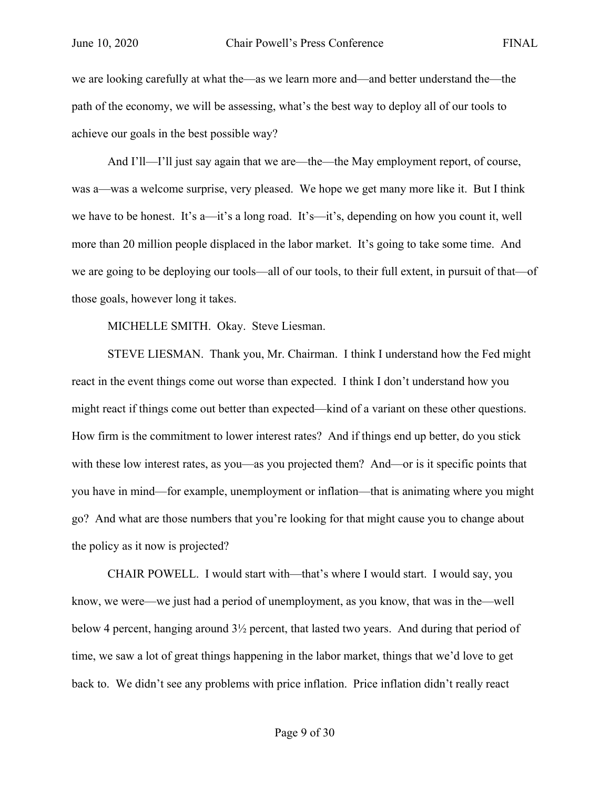we are looking carefully at what the—as we learn more and—and better understand the—the path of the economy, we will be assessing, what's the best way to deploy all of our tools to achieve our goals in the best possible way?

And I'll—I'll just say again that we are—the—the May employment report, of course, was a—was a welcome surprise, very pleased. We hope we get many more like it. But I think we have to be honest. It's a—it's a long road. It's—it's, depending on how you count it, well more than 20 million people displaced in the labor market. It's going to take some time. And we are going to be deploying our tools—all of our tools, to their full extent, in pursuit of that—of those goals, however long it takes.

MICHELLE SMITH. Okay. Steve Liesman.

STEVE LIESMAN. Thank you, Mr. Chairman. I think I understand how the Fed might react in the event things come out worse than expected. I think I don't understand how you might react if things come out better than expected—kind of a variant on these other questions. How firm is the commitment to lower interest rates? And if things end up better, do you stick with these low interest rates, as you—as you projected them? And—or is it specific points that you have in mind—for example, unemployment or inflation—that is animating where you might go? And what are those numbers that you're looking for that might cause you to change about the policy as it now is projected?

CHAIR POWELL. I would start with—that's where I would start. I would say, you know, we were—we just had a period of unemployment, as you know, that was in the—well below 4 percent, hanging around 3½ percent, that lasted two years. And during that period of time, we saw a lot of great things happening in the labor market, things that we'd love to get back to. We didn't see any problems with price inflation. Price inflation didn't really react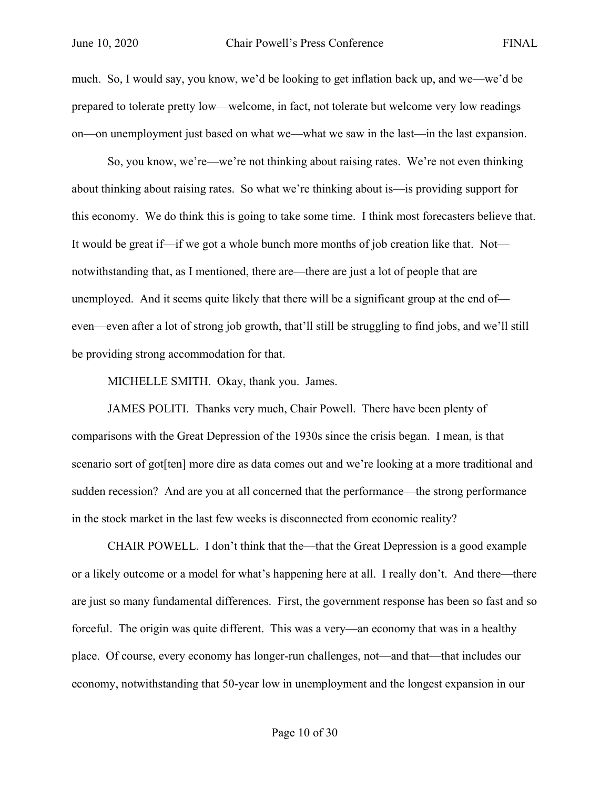much. So, I would say, you know, we'd be looking to get inflation back up, and we—we'd be prepared to tolerate pretty low—welcome, in fact, not tolerate but welcome very low readings on—on unemployment just based on what we—what we saw in the last—in the last expansion.

So, you know, we're—we're not thinking about raising rates. We're not even thinking about thinking about raising rates. So what we're thinking about is—is providing support for this economy. We do think this is going to take some time. I think most forecasters believe that. It would be great if—if we got a whole bunch more months of job creation like that. Not notwithstanding that, as I mentioned, there are—there are just a lot of people that are unemployed. And it seems quite likely that there will be a significant group at the end of even—even after a lot of strong job growth, that'll still be struggling to find jobs, and we'll still be providing strong accommodation for that.

MICHELLE SMITH. Okay, thank you. James.

JAMES POLITI. Thanks very much, Chair Powell. There have been plenty of comparisons with the Great Depression of the 1930s since the crisis began. I mean, is that scenario sort of got[ten] more dire as data comes out and we're looking at a more traditional and sudden recession? And are you at all concerned that the performance—the strong performance in the stock market in the last few weeks is disconnected from economic reality?

CHAIR POWELL. I don't think that the—that the Great Depression is a good example or a likely outcome or a model for what's happening here at all. I really don't. And there—there are just so many fundamental differences. First, the government response has been so fast and so forceful. The origin was quite different. This was a very—an economy that was in a healthy place. Of course, every economy has longer-run challenges, not—and that—that includes our economy, notwithstanding that 50-year low in unemployment and the longest expansion in our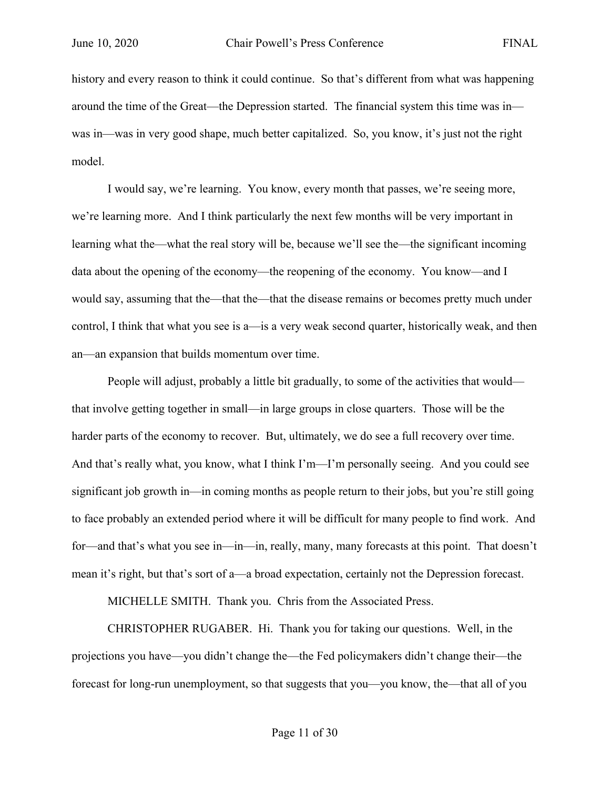history and every reason to think it could continue. So that's different from what was happening around the time of the Great—the Depression started. The financial system this time was in was in—was in very good shape, much better capitalized. So, you know, it's just not the right model.

I would say, we're learning. You know, every month that passes, we're seeing more, we're learning more. And I think particularly the next few months will be very important in learning what the—what the real story will be, because we'll see the—the significant incoming data about the opening of the economy—the reopening of the economy. You know—and I would say, assuming that the—that the—that the disease remains or becomes pretty much under control, I think that what you see is a—is a very weak second quarter, historically weak, and then an—an expansion that builds momentum over time.

People will adjust, probably a little bit gradually, to some of the activities that would that involve getting together in small—in large groups in close quarters. Those will be the harder parts of the economy to recover. But, ultimately, we do see a full recovery over time. And that's really what, you know, what I think I'm—I'm personally seeing. And you could see significant job growth in—in coming months as people return to their jobs, but you're still going to face probably an extended period where it will be difficult for many people to find work. And for—and that's what you see in—in—in, really, many, many forecasts at this point. That doesn't mean it's right, but that's sort of a—a broad expectation, certainly not the Depression forecast.

MICHELLE SMITH. Thank you. Chris from the Associated Press.

CHRISTOPHER RUGABER. Hi. Thank you for taking our questions. Well, in the projections you have—you didn't change the—the Fed policymakers didn't change their—the forecast for long-run unemployment, so that suggests that you—you know, the—that all of you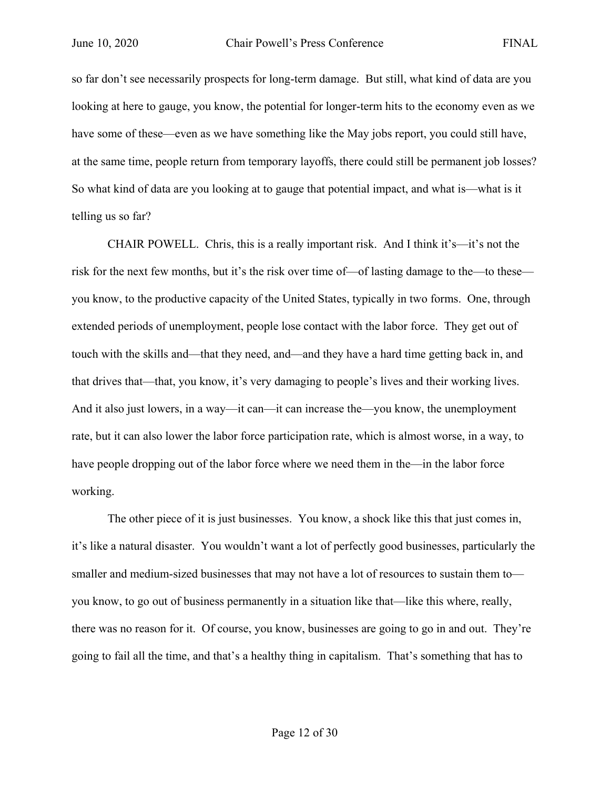so far don't see necessarily prospects for long-term damage. But still, what kind of data are you looking at here to gauge, you know, the potential for longer-term hits to the economy even as we have some of these—even as we have something like the May jobs report, you could still have, at the same time, people return from temporary layoffs, there could still be permanent job losses? So what kind of data are you looking at to gauge that potential impact, and what is—what is it telling us so far?

CHAIR POWELL. Chris, this is a really important risk. And I think it's—it's not the risk for the next few months, but it's the risk over time of—of lasting damage to the—to these you know, to the productive capacity of the United States, typically in two forms. One, through extended periods of unemployment, people lose contact with the labor force. They get out of touch with the skills and—that they need, and—and they have a hard time getting back in, and that drives that—that, you know, it's very damaging to people's lives and their working lives. And it also just lowers, in a way—it can—it can increase the—you know, the unemployment rate, but it can also lower the labor force participation rate, which is almost worse, in a way, to have people dropping out of the labor force where we need them in the—in the labor force working.

The other piece of it is just businesses. You know, a shock like this that just comes in, it's like a natural disaster. You wouldn't want a lot of perfectly good businesses, particularly the smaller and medium-sized businesses that may not have a lot of resources to sustain them to you know, to go out of business permanently in a situation like that—like this where, really, there was no reason for it. Of course, you know, businesses are going to go in and out. They're going to fail all the time, and that's a healthy thing in capitalism. That's something that has to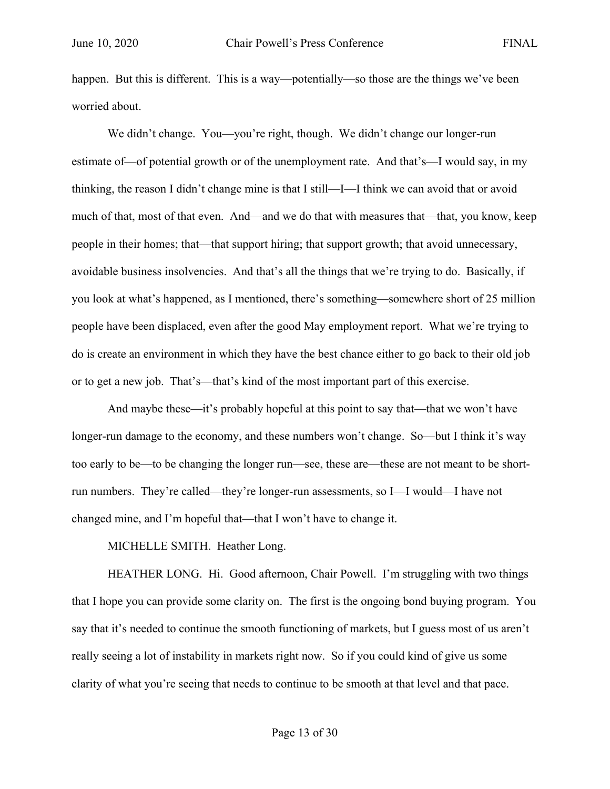happen. But this is different. This is a way—potentially—so those are the things we've been worried about.

We didn't change. You—you're right, though. We didn't change our longer-run estimate of—of potential growth or of the unemployment rate. And that's—I would say, in my thinking, the reason I didn't change mine is that I still—I—I think we can avoid that or avoid much of that, most of that even. And—and we do that with measures that—that, you know, keep people in their homes; that—that support hiring; that support growth; that avoid unnecessary, avoidable business insolvencies. And that's all the things that we're trying to do. Basically, if you look at what's happened, as I mentioned, there's something—somewhere short of 25 million people have been displaced, even after the good May employment report. What we're trying to do is create an environment in which they have the best chance either to go back to their old job or to get a new job. That's—that's kind of the most important part of this exercise.

And maybe these—it's probably hopeful at this point to say that—that we won't have longer-run damage to the economy, and these numbers won't change. So—but I think it's way too early to be—to be changing the longer run—see, these are—these are not meant to be shortrun numbers. They're called—they're longer-run assessments, so I—I would—I have not changed mine, and I'm hopeful that—that I won't have to change it.

MICHELLE SMITH. Heather Long.

HEATHER LONG. Hi. Good afternoon, Chair Powell. I'm struggling with two things that I hope you can provide some clarity on. The first is the ongoing bond buying program. You say that it's needed to continue the smooth functioning of markets, but I guess most of us aren't really seeing a lot of instability in markets right now. So if you could kind of give us some clarity of what you're seeing that needs to continue to be smooth at that level and that pace.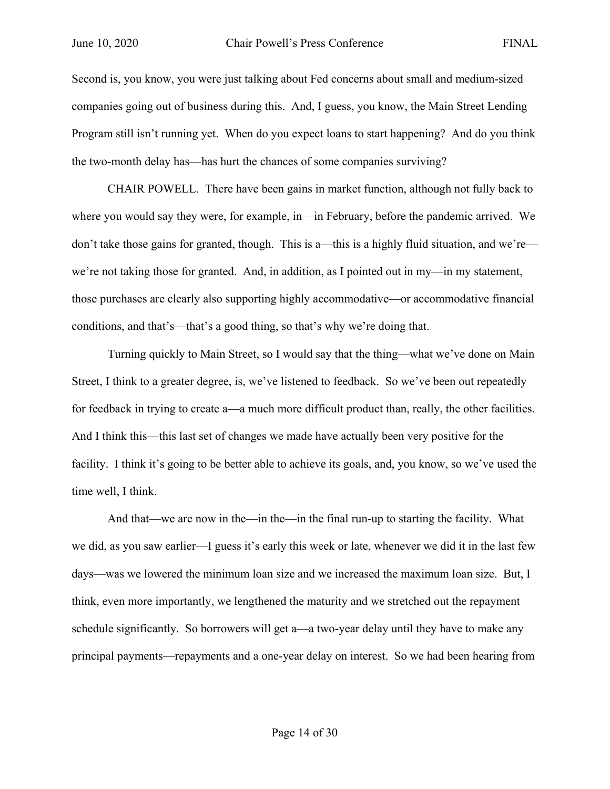Second is, you know, you were just talking about Fed concerns about small and medium-sized companies going out of business during this. And, I guess, you know, the Main Street Lending Program still isn't running yet. When do you expect loans to start happening? And do you think the two-month delay has—has hurt the chances of some companies surviving?

CHAIR POWELL. There have been gains in market function, although not fully back to where you would say they were, for example, in—in February, before the pandemic arrived. We don't take those gains for granted, though. This is a—this is a highly fluid situation, and we're we're not taking those for granted. And, in addition, as I pointed out in my—in my statement, those purchases are clearly also supporting highly accommodative—or accommodative financial conditions, and that's—that's a good thing, so that's why we're doing that.

Turning quickly to Main Street, so I would say that the thing—what we've done on Main Street, I think to a greater degree, is, we've listened to feedback. So we've been out repeatedly for feedback in trying to create a—a much more difficult product than, really, the other facilities. And I think this—this last set of changes we made have actually been very positive for the facility. I think it's going to be better able to achieve its goals, and, you know, so we've used the time well, I think.

And that—we are now in the—in the—in the final run-up to starting the facility. What we did, as you saw earlier—I guess it's early this week or late, whenever we did it in the last few days—was we lowered the minimum loan size and we increased the maximum loan size. But, I think, even more importantly, we lengthened the maturity and we stretched out the repayment schedule significantly. So borrowers will get a—a two-year delay until they have to make any principal payments—repayments and a one-year delay on interest. So we had been hearing from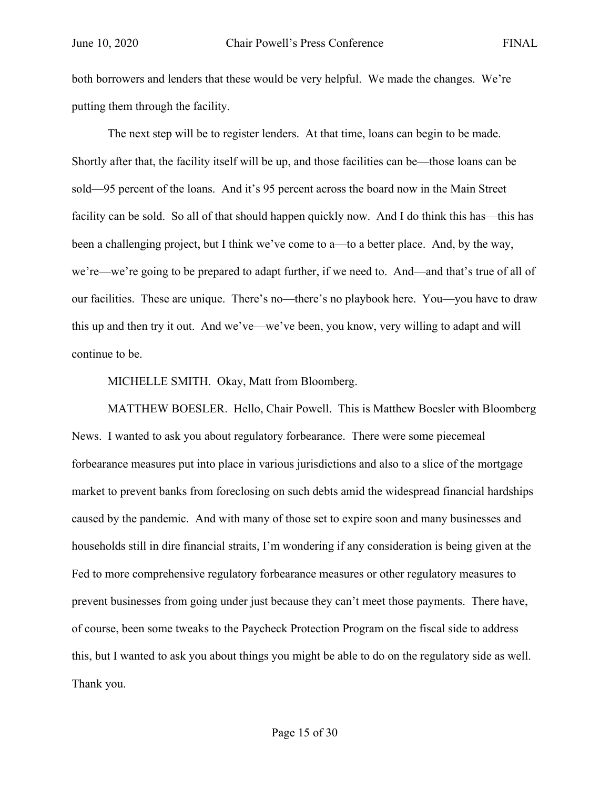both borrowers and lenders that these would be very helpful. We made the changes. We're putting them through the facility.

The next step will be to register lenders. At that time, loans can begin to be made. Shortly after that, the facility itself will be up, and those facilities can be—those loans can be sold—95 percent of the loans. And it's 95 percent across the board now in the Main Street facility can be sold. So all of that should happen quickly now. And I do think this has—this has been a challenging project, but I think we've come to a—to a better place. And, by the way, we're—we're going to be prepared to adapt further, if we need to. And—and that's true of all of our facilities. These are unique. There's no—there's no playbook here. You—you have to draw this up and then try it out. And we've—we've been, you know, very willing to adapt and will continue to be.

MICHELLE SMITH. Okay, Matt from Bloomberg.

MATTHEW BOESLER. Hello, Chair Powell. This is Matthew Boesler with Bloomberg News. I wanted to ask you about regulatory forbearance. There were some piecemeal forbearance measures put into place in various jurisdictions and also to a slice of the mortgage market to prevent banks from foreclosing on such debts amid the widespread financial hardships caused by the pandemic. And with many of those set to expire soon and many businesses and households still in dire financial straits, I'm wondering if any consideration is being given at the Fed to more comprehensive regulatory forbearance measures or other regulatory measures to prevent businesses from going under just because they can't meet those payments. There have, of course, been some tweaks to the Paycheck Protection Program on the fiscal side to address this, but I wanted to ask you about things you might be able to do on the regulatory side as well. Thank you.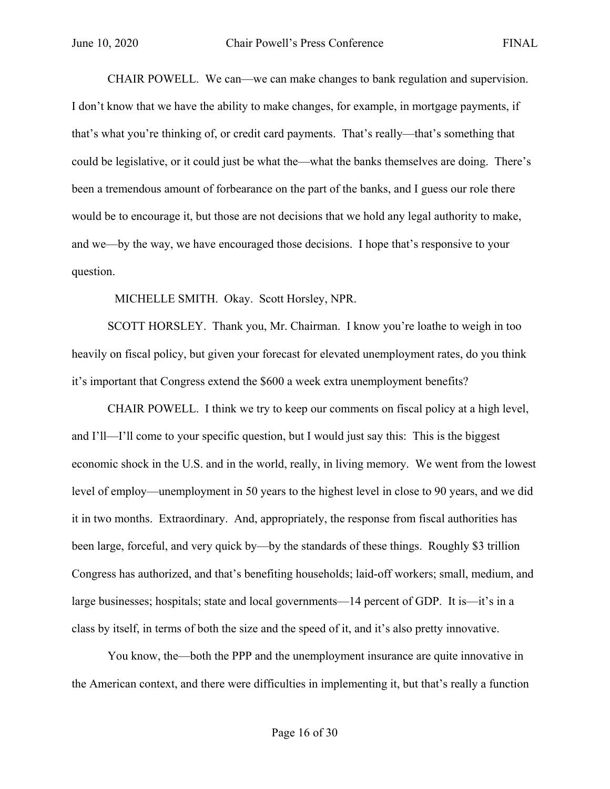CHAIR POWELL. We can—we can make changes to bank regulation and supervision. I don't know that we have the ability to make changes, for example, in mortgage payments, if that's what you're thinking of, or credit card payments. That's really—that's something that could be legislative, or it could just be what the—what the banks themselves are doing. There's been a tremendous amount of forbearance on the part of the banks, and I guess our role there would be to encourage it, but those are not decisions that we hold any legal authority to make, and we—by the way, we have encouraged those decisions. I hope that's responsive to your question.

MICHELLE SMITH. Okay. Scott Horsley, NPR.

SCOTT HORSLEY. Thank you, Mr. Chairman. I know you're loathe to weigh in too heavily on fiscal policy, but given your forecast for elevated unemployment rates, do you think it's important that Congress extend the \$600 a week extra unemployment benefits?

CHAIR POWELL. I think we try to keep our comments on fiscal policy at a high level, and I'll—I'll come to your specific question, but I would just say this: This is the biggest economic shock in the U.S. and in the world, really, in living memory. We went from the lowest level of employ—unemployment in 50 years to the highest level in close to 90 years, and we did it in two months. Extraordinary. And, appropriately, the response from fiscal authorities has been large, forceful, and very quick by—by the standards of these things. Roughly \$3 trillion Congress has authorized, and that's benefiting households; laid-off workers; small, medium, and large businesses; hospitals; state and local governments—14 percent of GDP. It is—it's in a class by itself, in terms of both the size and the speed of it, and it's also pretty innovative.

You know, the—both the PPP and the unemployment insurance are quite innovative in the American context, and there were difficulties in implementing it, but that's really a function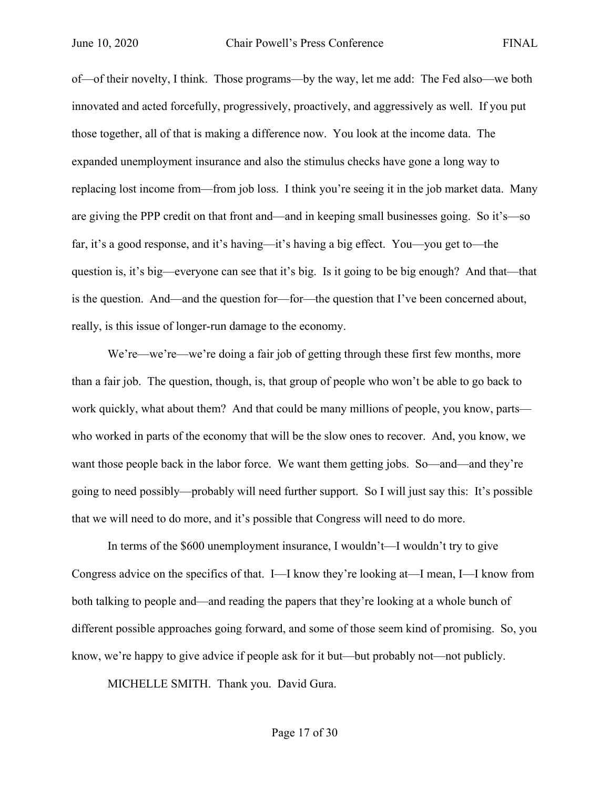of—of their novelty, I think. Those programs—by the way, let me add: The Fed also—we both innovated and acted forcefully, progressively, proactively, and aggressively as well. If you put those together, all of that is making a difference now. You look at the income data. The expanded unemployment insurance and also the stimulus checks have gone a long way to replacing lost income from—from job loss. I think you're seeing it in the job market data. Many are giving the PPP credit on that front and—and in keeping small businesses going. So it's—so far, it's a good response, and it's having—it's having a big effect. You—you get to—the question is, it's big—everyone can see that it's big. Is it going to be big enough? And that—that is the question. And—and the question for—for—the question that I've been concerned about, really, is this issue of longer-run damage to the economy.

We're—we're—we're doing a fair job of getting through these first few months, more than a fair job. The question, though, is, that group of people who won't be able to go back to work quickly, what about them? And that could be many millions of people, you know, parts who worked in parts of the economy that will be the slow ones to recover. And, you know, we want those people back in the labor force. We want them getting jobs. So—and—and they're going to need possibly—probably will need further support. So I will just say this: It's possible that we will need to do more, and it's possible that Congress will need to do more.

In terms of the \$600 unemployment insurance, I wouldn't—I wouldn't try to give Congress advice on the specifics of that. I—I know they're looking at—I mean, I—I know from both talking to people and—and reading the papers that they're looking at a whole bunch of different possible approaches going forward, and some of those seem kind of promising. So, you know, we're happy to give advice if people ask for it but—but probably not—not publicly.

MICHELLE SMITH. Thank you. David Gura.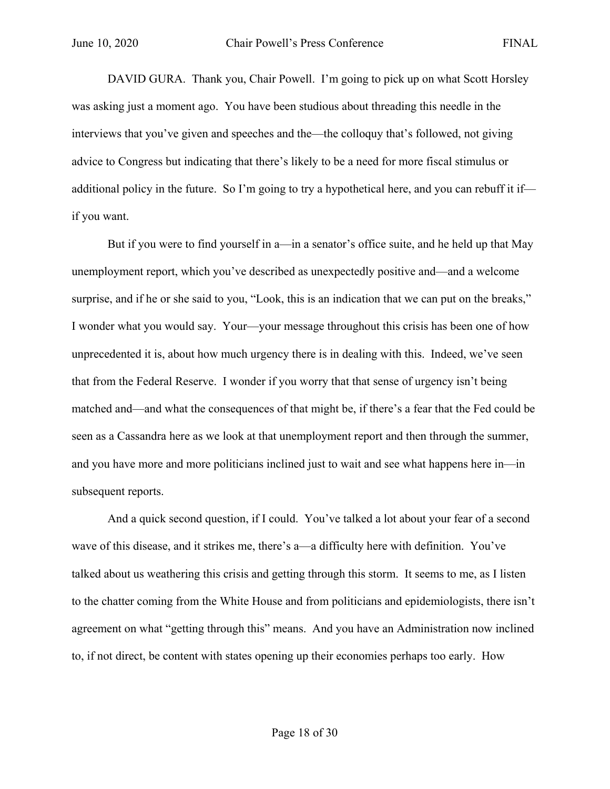DAVID GURA. Thank you, Chair Powell. I'm going to pick up on what Scott Horsley was asking just a moment ago. You have been studious about threading this needle in the interviews that you've given and speeches and the—the colloquy that's followed, not giving advice to Congress but indicating that there's likely to be a need for more fiscal stimulus or additional policy in the future. So I'm going to try a hypothetical here, and you can rebuff it if if you want.

But if you were to find yourself in a—in a senator's office suite, and he held up that May unemployment report, which you've described as unexpectedly positive and—and a welcome surprise, and if he or she said to you, "Look, this is an indication that we can put on the breaks," I wonder what you would say. Your—your message throughout this crisis has been one of how unprecedented it is, about how much urgency there is in dealing with this. Indeed, we've seen that from the Federal Reserve. I wonder if you worry that that sense of urgency isn't being matched and—and what the consequences of that might be, if there's a fear that the Fed could be seen as a Cassandra here as we look at that unemployment report and then through the summer, and you have more and more politicians inclined just to wait and see what happens here in—in subsequent reports.

And a quick second question, if I could. You've talked a lot about your fear of a second wave of this disease, and it strikes me, there's a—a difficulty here with definition. You've talked about us weathering this crisis and getting through this storm. It seems to me, as I listen to the chatter coming from the White House and from politicians and epidemiologists, there isn't agreement on what "getting through this" means. And you have an Administration now inclined to, if not direct, be content with states opening up their economies perhaps too early. How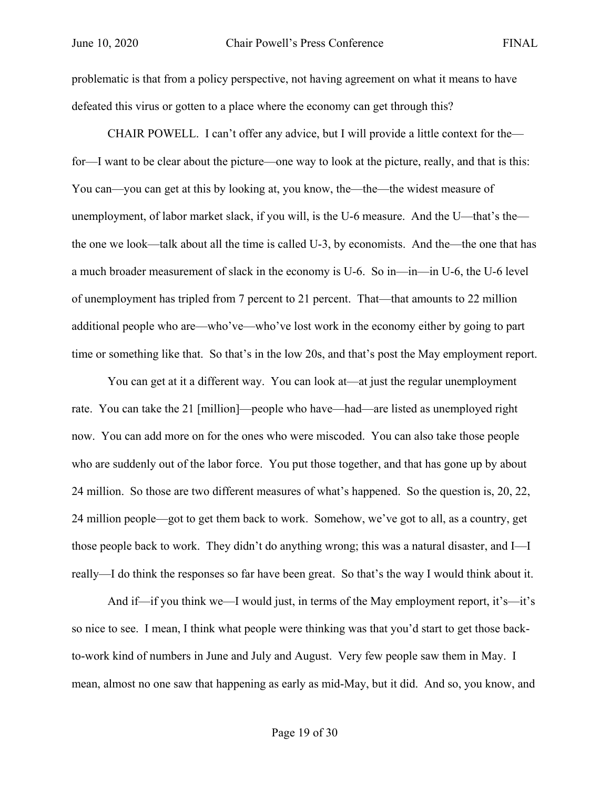problematic is that from a policy perspective, not having agreement on what it means to have defeated this virus or gotten to a place where the economy can get through this?

CHAIR POWELL. I can't offer any advice, but I will provide a little context for the for—I want to be clear about the picture—one way to look at the picture, really, and that is this: You can—you can get at this by looking at, you know, the—the—the widest measure of unemployment, of labor market slack, if you will, is the U-6 measure. And the U—that's the the one we look—talk about all the time is called U-3, by economists. And the—the one that has a much broader measurement of slack in the economy is U-6. So in—in—in U-6, the U-6 level of unemployment has tripled from 7 percent to 21 percent. That—that amounts to 22 million additional people who are—who've—who've lost work in the economy either by going to part time or something like that. So that's in the low 20s, and that's post the May employment report.

You can get at it a different way. You can look at—at just the regular unemployment rate. You can take the 21 [million]—people who have—had—are listed as unemployed right now. You can add more on for the ones who were miscoded. You can also take those people who are suddenly out of the labor force. You put those together, and that has gone up by about 24 million. So those are two different measures of what's happened. So the question is, 20, 22, 24 million people—got to get them back to work. Somehow, we've got to all, as a country, get those people back to work. They didn't do anything wrong; this was a natural disaster, and I—I really—I do think the responses so far have been great. So that's the way I would think about it.

And if—if you think we—I would just, in terms of the May employment report, it's—it's so nice to see. I mean, I think what people were thinking was that you'd start to get those backto-work kind of numbers in June and July and August. Very few people saw them in May. I mean, almost no one saw that happening as early as mid-May, but it did. And so, you know, and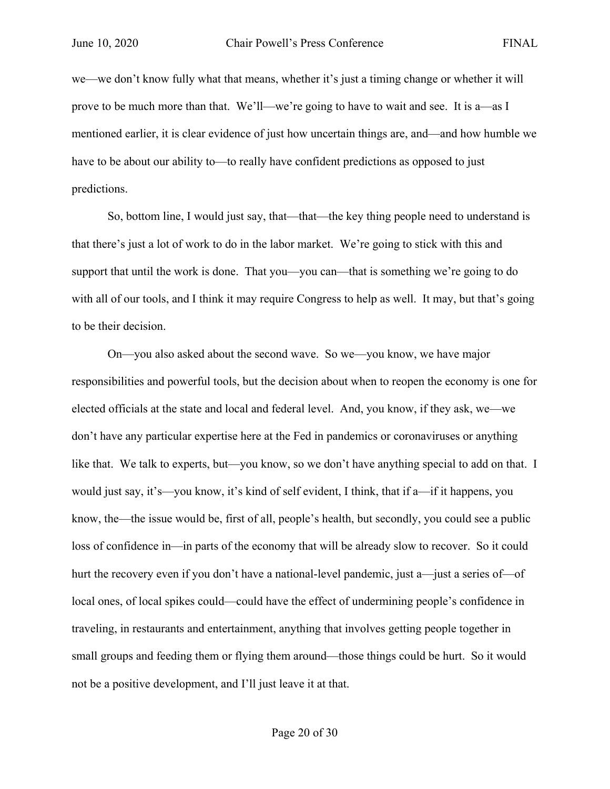we—we don't know fully what that means, whether it's just a timing change or whether it will prove to be much more than that. We'll—we're going to have to wait and see. It is a—as I mentioned earlier, it is clear evidence of just how uncertain things are, and—and how humble we have to be about our ability to—to really have confident predictions as opposed to just predictions.

So, bottom line, I would just say, that—that—the key thing people need to understand is that there's just a lot of work to do in the labor market. We're going to stick with this and support that until the work is done. That you—you can—that is something we're going to do with all of our tools, and I think it may require Congress to help as well. It may, but that's going to be their decision.

On—you also asked about the second wave. So we—you know, we have major responsibilities and powerful tools, but the decision about when to reopen the economy is one for elected officials at the state and local and federal level. And, you know, if they ask, we—we don't have any particular expertise here at the Fed in pandemics or coronaviruses or anything like that. We talk to experts, but—you know, so we don't have anything special to add on that. I would just say, it's—you know, it's kind of self evident, I think, that if a—if it happens, you know, the—the issue would be, first of all, people's health, but secondly, you could see a public loss of confidence in—in parts of the economy that will be already slow to recover. So it could hurt the recovery even if you don't have a national-level pandemic, just a—just a series of—of local ones, of local spikes could—could have the effect of undermining people's confidence in traveling, in restaurants and entertainment, anything that involves getting people together in small groups and feeding them or flying them around—those things could be hurt. So it would not be a positive development, and I'll just leave it at that.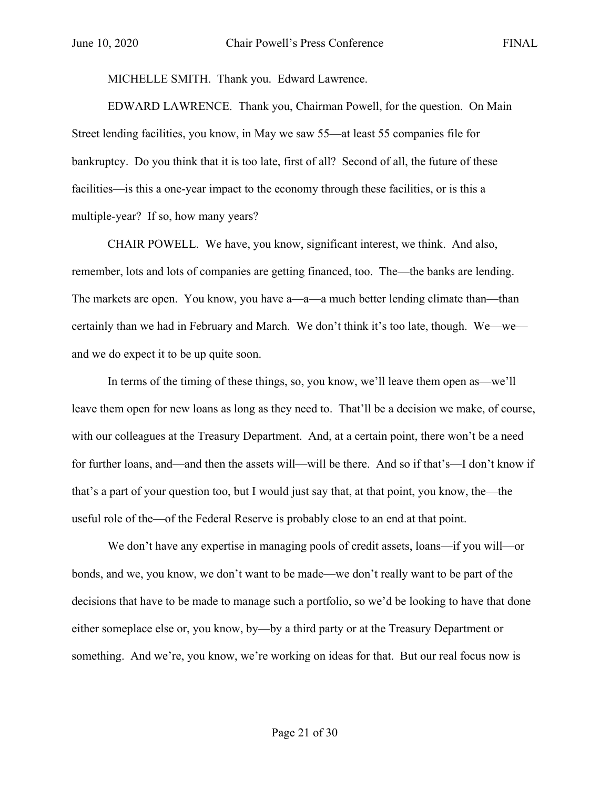MICHELLE SMITH. Thank you. Edward Lawrence.

EDWARD LAWRENCE. Thank you, Chairman Powell, for the question. On Main Street lending facilities, you know, in May we saw 55—at least 55 companies file for bankruptcy. Do you think that it is too late, first of all? Second of all, the future of these facilities—is this a one-year impact to the economy through these facilities, or is this a multiple-year? If so, how many years?

CHAIR POWELL. We have, you know, significant interest, we think. And also, remember, lots and lots of companies are getting financed, too. The—the banks are lending. The markets are open. You know, you have a—a—a much better lending climate than—than certainly than we had in February and March. We don't think it's too late, though. We—we and we do expect it to be up quite soon.

In terms of the timing of these things, so, you know, we'll leave them open as—we'll leave them open for new loans as long as they need to. That'll be a decision we make, of course, with our colleagues at the Treasury Department. And, at a certain point, there won't be a need for further loans, and—and then the assets will—will be there. And so if that's—I don't know if that's a part of your question too, but I would just say that, at that point, you know, the—the useful role of the—of the Federal Reserve is probably close to an end at that point.

We don't have any expertise in managing pools of credit assets, loans—if you will—or bonds, and we, you know, we don't want to be made—we don't really want to be part of the decisions that have to be made to manage such a portfolio, so we'd be looking to have that done either someplace else or, you know, by—by a third party or at the Treasury Department or something. And we're, you know, we're working on ideas for that. But our real focus now is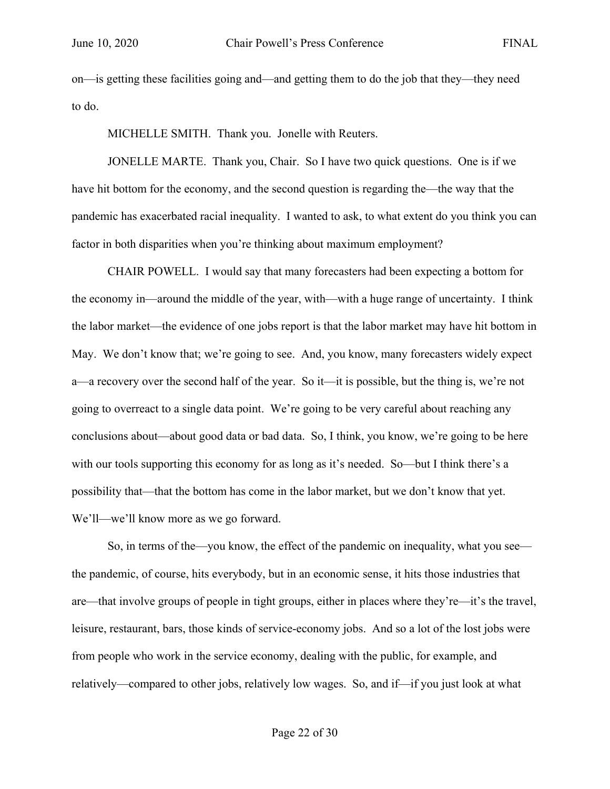on—is getting these facilities going and—and getting them to do the job that they—they need to do.

MICHELLE SMITH. Thank you. Jonelle with Reuters.

JONELLE MARTE. Thank you, Chair. So I have two quick questions. One is if we have hit bottom for the economy, and the second question is regarding the—the way that the pandemic has exacerbated racial inequality. I wanted to ask, to what extent do you think you can factor in both disparities when you're thinking about maximum employment?

CHAIR POWELL. I would say that many forecasters had been expecting a bottom for the economy in—around the middle of the year, with—with a huge range of uncertainty. I think the labor market—the evidence of one jobs report is that the labor market may have hit bottom in May. We don't know that; we're going to see. And, you know, many forecasters widely expect a—a recovery over the second half of the year. So it—it is possible, but the thing is, we're not going to overreact to a single data point. We're going to be very careful about reaching any conclusions about—about good data or bad data. So, I think, you know, we're going to be here with our tools supporting this economy for as long as it's needed. So—but I think there's a possibility that—that the bottom has come in the labor market, but we don't know that yet. We'll—we'll know more as we go forward.

So, in terms of the—you know, the effect of the pandemic on inequality, what you see the pandemic, of course, hits everybody, but in an economic sense, it hits those industries that are—that involve groups of people in tight groups, either in places where they're—it's the travel, leisure, restaurant, bars, those kinds of service-economy jobs. And so a lot of the lost jobs were from people who work in the service economy, dealing with the public, for example, and relatively—compared to other jobs, relatively low wages. So, and if—if you just look at what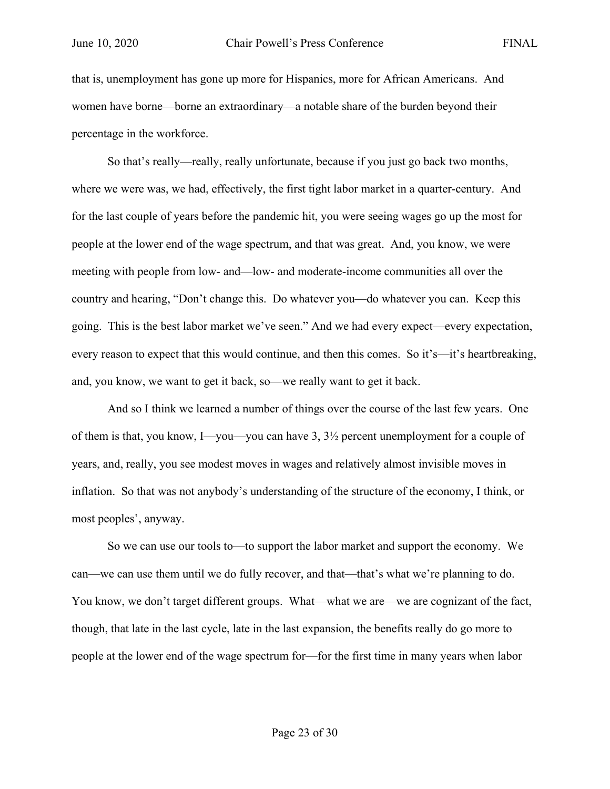that is, unemployment has gone up more for Hispanics, more for African Americans. And women have borne—borne an extraordinary—a notable share of the burden beyond their percentage in the workforce.

So that's really—really, really unfortunate, because if you just go back two months, where we were was, we had, effectively, the first tight labor market in a quarter-century. And for the last couple of years before the pandemic hit, you were seeing wages go up the most for people at the lower end of the wage spectrum, and that was great. And, you know, we were meeting with people from low- and—low- and moderate-income communities all over the country and hearing, "Don't change this. Do whatever you—do whatever you can. Keep this going. This is the best labor market we've seen." And we had every expect—every expectation, every reason to expect that this would continue, and then this comes. So it's—it's heartbreaking, and, you know, we want to get it back, so—we really want to get it back.

And so I think we learned a number of things over the course of the last few years. One of them is that, you know, I—you—you can have  $3, 3\frac{1}{2}$  percent unemployment for a couple of years, and, really, you see modest moves in wages and relatively almost invisible moves in inflation. So that was not anybody's understanding of the structure of the economy, I think, or most peoples', anyway.

So we can use our tools to—to support the labor market and support the economy. We can—we can use them until we do fully recover, and that—that's what we're planning to do. You know, we don't target different groups. What—what we are—we are cognizant of the fact, though, that late in the last cycle, late in the last expansion, the benefits really do go more to people at the lower end of the wage spectrum for—for the first time in many years when labor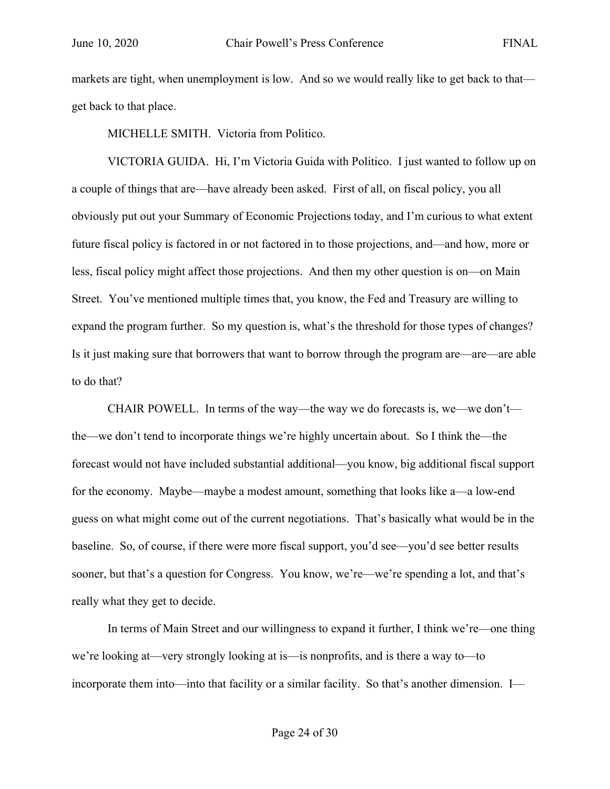markets are tight, when unemployment is low. And so we would really like to get back to that get back to that place.

MICHELLE SMITH. Victoria from Politico.

VICTORIA GUIDA. Hi, I'm Victoria Guida with Politico. I just wanted to follow up on a couple of things that are—have already been asked. First of all, on fiscal policy, you all obviously put out your Summary of Economic Projections today, and I'm curious to what extent future fiscal policy is factored in or not factored in to those projections, and—and how, more or less, fiscal policy might affect those projections. And then my other question is on—on Main Street. You've mentioned multiple times that, you know, the Fed and Treasury are willing to expand the program further. So my question is, what's the threshold for those types of changes? Is it just making sure that borrowers that want to borrow through the program are—are—are able to do that?

CHAIR POWELL. In terms of the way—the way we do forecasts is, we—we don't the—we don't tend to incorporate things we're highly uncertain about. So I think the—the forecast would not have included substantial additional—you know, big additional fiscal support for the economy. Maybe—maybe a modest amount, something that looks like a—a low-end guess on what might come out of the current negotiations. That's basically what would be in the baseline. So, of course, if there were more fiscal support, you'd see—you'd see better results sooner, but that's a question for Congress. You know, we're—we're spending a lot, and that's really what they get to decide.

In terms of Main Street and our willingness to expand it further, I think we're—one thing we're looking at—very strongly looking at is—is nonprofits, and is there a way to—to incorporate them into—into that facility or a similar facility. So that's another dimension. I—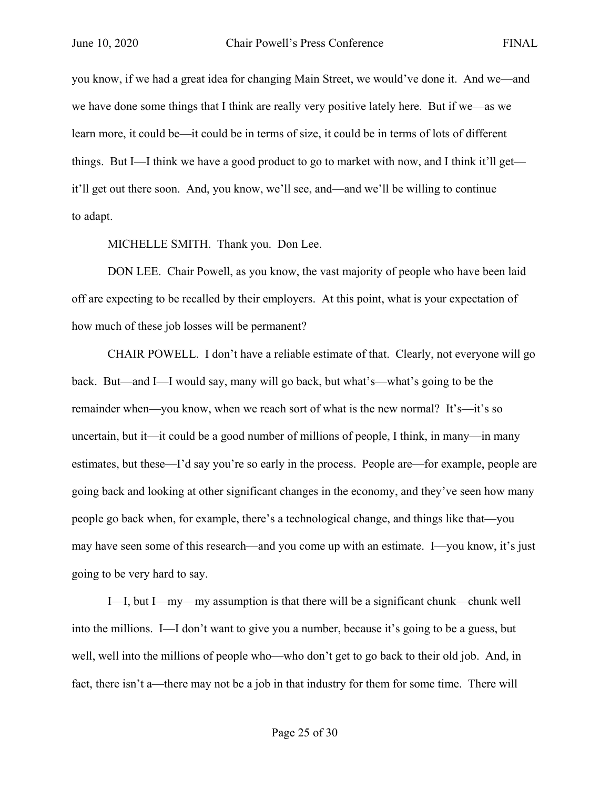you know, if we had a great idea for changing Main Street, we would've done it. And we—and we have done some things that I think are really very positive lately here. But if we—as we learn more, it could be—it could be in terms of size, it could be in terms of lots of different things. But I—I think we have a good product to go to market with now, and I think it'll get it'll get out there soon. And, you know, we'll see, and—and we'll be willing to continue to adapt.

MICHELLE SMITH. Thank you. Don Lee.

DON LEE. Chair Powell, as you know, the vast majority of people who have been laid off are expecting to be recalled by their employers. At this point, what is your expectation of how much of these job losses will be permanent?

CHAIR POWELL. I don't have a reliable estimate of that. Clearly, not everyone will go back. But—and I—I would say, many will go back, but what's—what's going to be the remainder when—you know, when we reach sort of what is the new normal? It's—it's so uncertain, but it—it could be a good number of millions of people, I think, in many—in many estimates, but these—I'd say you're so early in the process. People are—for example, people are going back and looking at other significant changes in the economy, and they've seen how many people go back when, for example, there's a technological change, and things like that—you may have seen some of this research—and you come up with an estimate. I—you know, it's just going to be very hard to say.

I—I, but I—my—my assumption is that there will be a significant chunk—chunk well into the millions. I—I don't want to give you a number, because it's going to be a guess, but well, well into the millions of people who—who don't get to go back to their old job. And, in fact, there isn't a—there may not be a job in that industry for them for some time. There will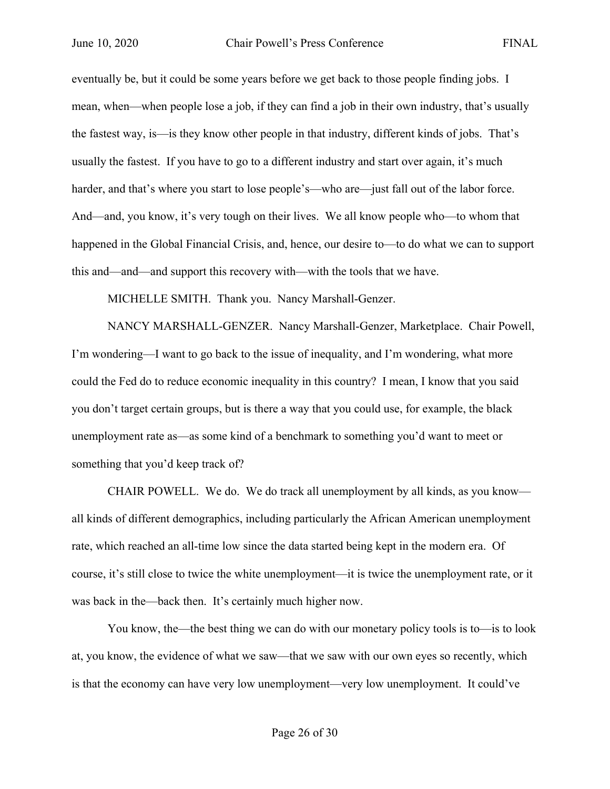eventually be, but it could be some years before we get back to those people finding jobs. I mean, when—when people lose a job, if they can find a job in their own industry, that's usually the fastest way, is—is they know other people in that industry, different kinds of jobs. That's usually the fastest. If you have to go to a different industry and start over again, it's much harder, and that's where you start to lose people's—who are—just fall out of the labor force. And—and, you know, it's very tough on their lives. We all know people who—to whom that happened in the Global Financial Crisis, and, hence, our desire to—to do what we can to support this and—and—and support this recovery with—with the tools that we have.

MICHELLE SMITH. Thank you. Nancy Marshall-Genzer.

NANCY MARSHALL-GENZER. Nancy Marshall-Genzer, Marketplace. Chair Powell, I'm wondering—I want to go back to the issue of inequality, and I'm wondering, what more could the Fed do to reduce economic inequality in this country? I mean, I know that you said you don't target certain groups, but is there a way that you could use, for example, the black unemployment rate as—as some kind of a benchmark to something you'd want to meet or something that you'd keep track of?

CHAIR POWELL. We do. We do track all unemployment by all kinds, as you know all kinds of different demographics, including particularly the African American unemployment rate, which reached an all-time low since the data started being kept in the modern era. Of course, it's still close to twice the white unemployment—it is twice the unemployment rate, or it was back in the—back then. It's certainly much higher now.

You know, the—the best thing we can do with our monetary policy tools is to—is to look at, you know, the evidence of what we saw—that we saw with our own eyes so recently, which is that the economy can have very low unemployment—very low unemployment. It could've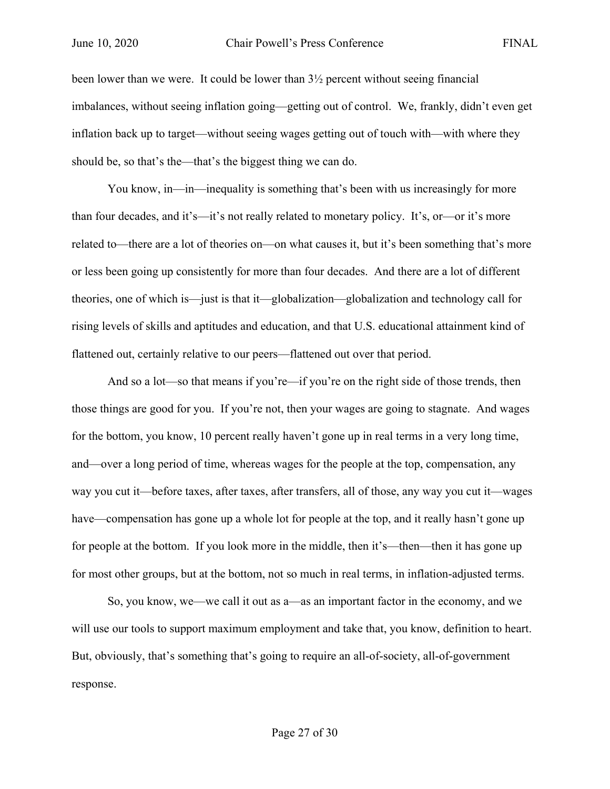been lower than we were. It could be lower than  $3\frac{1}{2}$  percent without seeing financial imbalances, without seeing inflation going—getting out of control. We, frankly, didn't even get inflation back up to target—without seeing wages getting out of touch with—with where they should be, so that's the—that's the biggest thing we can do.

You know, in—in—inequality is something that's been with us increasingly for more than four decades, and it's—it's not really related to monetary policy. It's, or—or it's more related to—there are a lot of theories on—on what causes it, but it's been something that's more or less been going up consistently for more than four decades. And there are a lot of different theories, one of which is—just is that it—globalization—globalization and technology call for rising levels of skills and aptitudes and education, and that U.S. educational attainment kind of flattened out, certainly relative to our peers—flattened out over that period.

And so a lot—so that means if you're—if you're on the right side of those trends, then those things are good for you. If you're not, then your wages are going to stagnate. And wages for the bottom, you know, 10 percent really haven't gone up in real terms in a very long time, and—over a long period of time, whereas wages for the people at the top, compensation, any way you cut it—before taxes, after taxes, after transfers, all of those, any way you cut it—wages have—compensation has gone up a whole lot for people at the top, and it really hasn't gone up for people at the bottom. If you look more in the middle, then it's—then—then it has gone up for most other groups, but at the bottom, not so much in real terms, in inflation-adjusted terms.

So, you know, we—we call it out as a—as an important factor in the economy, and we will use our tools to support maximum employment and take that, you know, definition to heart. But, obviously, that's something that's going to require an all-of-society, all-of-government response.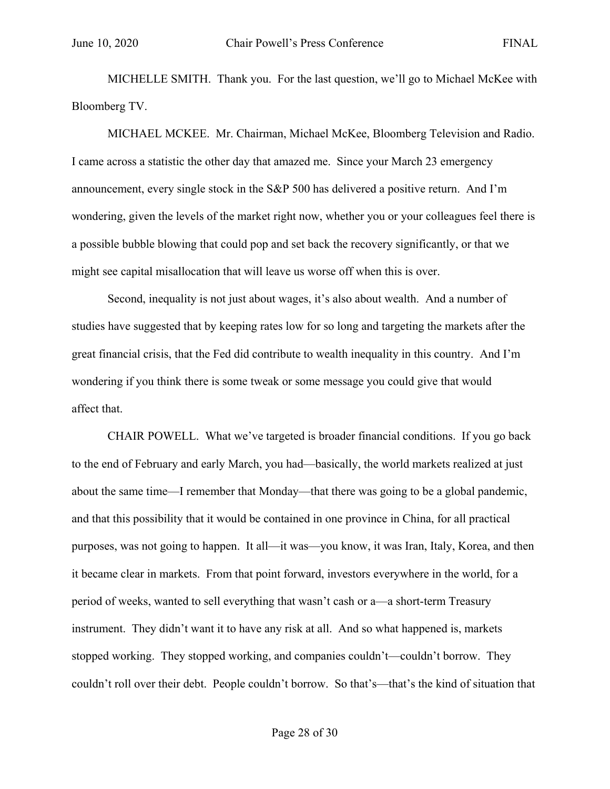MICHELLE SMITH. Thank you. For the last question, we'll go to Michael McKee with Bloomberg TV.

MICHAEL MCKEE. Mr. Chairman, Michael McKee, Bloomberg Television and Radio. I came across a statistic the other day that amazed me. Since your March 23 emergency announcement, every single stock in the S&P 500 has delivered a positive return. And I'm wondering, given the levels of the market right now, whether you or your colleagues feel there is a possible bubble blowing that could pop and set back the recovery significantly, or that we might see capital misallocation that will leave us worse off when this is over.

Second, inequality is not just about wages, it's also about wealth. And a number of studies have suggested that by keeping rates low for so long and targeting the markets after the great financial crisis, that the Fed did contribute to wealth inequality in this country. And I'm wondering if you think there is some tweak or some message you could give that would affect that.

CHAIR POWELL. What we've targeted is broader financial conditions. If you go back to the end of February and early March, you had—basically, the world markets realized at just about the same time—I remember that Monday—that there was going to be a global pandemic, and that this possibility that it would be contained in one province in China, for all practical purposes, was not going to happen. It all—it was—you know, it was Iran, Italy, Korea, and then it became clear in markets. From that point forward, investors everywhere in the world, for a period of weeks, wanted to sell everything that wasn't cash or a—a short-term Treasury instrument. They didn't want it to have any risk at all. And so what happened is, markets stopped working. They stopped working, and companies couldn't—couldn't borrow. They couldn't roll over their debt. People couldn't borrow. So that's—that's the kind of situation that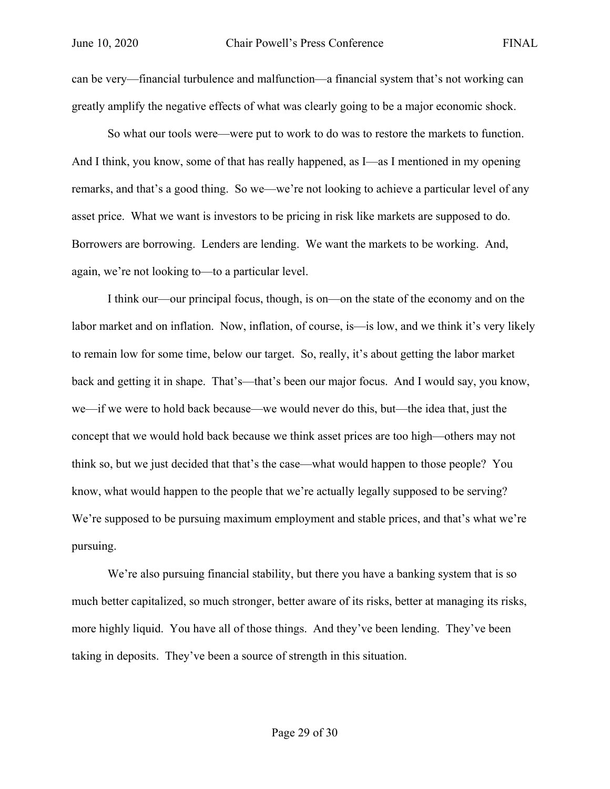can be very—financial turbulence and malfunction—a financial system that's not working can greatly amplify the negative effects of what was clearly going to be a major economic shock.

So what our tools were—were put to work to do was to restore the markets to function. And I think, you know, some of that has really happened, as I—as I mentioned in my opening remarks, and that's a good thing. So we—we're not looking to achieve a particular level of any asset price. What we want is investors to be pricing in risk like markets are supposed to do. Borrowers are borrowing. Lenders are lending. We want the markets to be working. And, again, we're not looking to—to a particular level.

I think our—our principal focus, though, is on—on the state of the economy and on the labor market and on inflation. Now, inflation, of course, is—is low, and we think it's very likely to remain low for some time, below our target. So, really, it's about getting the labor market back and getting it in shape. That's—that's been our major focus. And I would say, you know, we—if we were to hold back because—we would never do this, but—the idea that, just the concept that we would hold back because we think asset prices are too high—others may not think so, but we just decided that that's the case—what would happen to those people? You know, what would happen to the people that we're actually legally supposed to be serving? We're supposed to be pursuing maximum employment and stable prices, and that's what we're pursuing.

We're also pursuing financial stability, but there you have a banking system that is so much better capitalized, so much stronger, better aware of its risks, better at managing its risks, more highly liquid. You have all of those things. And they've been lending. They've been taking in deposits. They've been a source of strength in this situation.